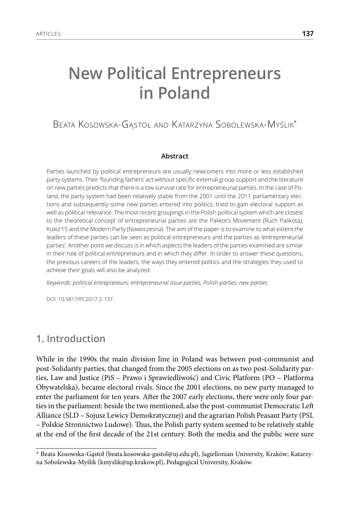# **New Political Entrepreneurs in Poland**

### Beata Kosowska-Gąstoł and Katarzyna Sobolewska-Myślik\*

#### **Abstract**

Parties launched by political entrepreneurs are usually newcomers into more or less established party systems. Their 'founding fathers' act without specific external group support and the literature on new parties predicts that there is a low survival rate for entrepreneurial parties. In the case of Poland, the party system had been relatively stable from the 2001 until the 2011 parliamentary elections and subsequently some new parties entered into politics, tried to gain electoral support as well as political relevance. The most recent groupings in the Polish political system which are closest to the theoretical concept of entrepreneurial parties are the Palikot's Movement (Ruch Palikota), Kukiz'15 and the Modern Party (Nowoczesna). The aim of the paper is to examine to what extent the leaders of these parties can be seen as political entrepreneurs and the parties as 'entrepreneurial parties'. Another point we discuss is in which aspects the leaders of the parties examined are similar in their role of political entrepreneurs and in which they differ. In order to answer these questions, the previous careers of the leaders, the ways they entered politics and the strategies they used to achieve their goals will also be analyzed.

*Keywords: political entrepreneurs; entrepreneurial issue parties; Polish parties; new parties*

DOI: 10.5817/PC2017-2-137

#### **1. Introduction**

While in the 1990s the main division line in Poland was between post-communist and post-Solidarity parties, that changed from the 2005 elections on as two post-Solidarity parties, Law and Justice (PiS – Prawo i Sprawiedliwość) and Civic Platform (PO – Platforma Obywatelska), became electoral rivals. Since the 2001 elections, no new party managed to enter the parliament for ten years. After the 2007 early elections, there were only four parties in the parliament: beside the two mentioned, also the post-communist Democratic Left Alliance (SLD – Sojusz Lewicy Demokratycznej) and the agrarian Polish Peasant Party (PSL – Polskie Stronnictwo Ludowe). Thus, the Polish party system seemed to be relatively stable at the end of the first decade of the 21st century. Both the media and the public were sure

<sup>\*</sup> Beata Kosowska-Gąstoł (beata.kosowska-gastol@uj.edu.pl), Jagiellonian University, Kraków; Katarzyna Sobolewska-Myślik (kmyslik@up.krakow.pl), Pedagogical University, Kraków.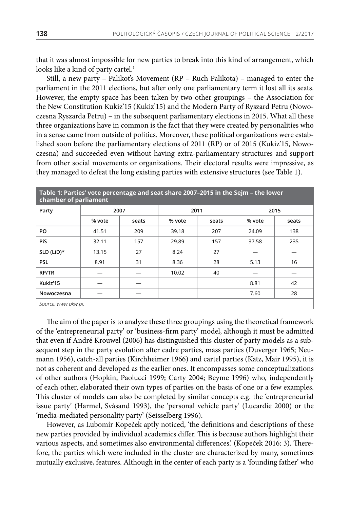that it was almost impossible for new parties to break into this kind of arrangement, which looks like a kind of party cartel.<sup>1</sup>

Still, a new party – Palikot's Movement (RP – Ruch Palikota) – managed to enter the parliament in the 2011 elections, but after only one parliamentary term it lost all its seats. However, the empty space has been taken by two other groupings – the Association for the New Constitution Kukiz'15 (Kukiz'15) and the Modern Party of Ryszard Petru (Nowoczesna Ryszarda Petru) – in the subsequent parliamentary elections in 2015. What all these three organizations have in common is the fact that they were created by personalities who in a sense came from outside of politics. Moreover, these political organizations were established soon before the parliamentary elections of 2011 (RP) or of 2015 (Kukiz'15, Nowoczesna) and succeeded even without having extra-parliamentary structures and support from other social movements or organizations. Their electoral results were impressive, as they managed to defeat the long existing parties with extensive structures (see Table 1).

| Table 1: Parties' vote percentage and seat share 2007-2015 in the Sejm - the lower<br>chamber of parliament |        |       |        |       |        |       |
|-------------------------------------------------------------------------------------------------------------|--------|-------|--------|-------|--------|-------|
| Party                                                                                                       | 2007   |       | 2011   |       | 2015   |       |
|                                                                                                             | % vote | seats | % vote | seats | % vote | seats |
| PO                                                                                                          | 41.51  | 209   | 39.18  | 207   | 24.09  | 138   |
| <b>PiS</b>                                                                                                  | 32.11  | 157   | 29.89  | 157   | 37.58  | 235   |
| SLD (LiD)*                                                                                                  | 13.15  | 27    | 8.24   | 27    |        |       |
| <b>PSL</b>                                                                                                  | 8.91   | 31    | 8.36   | 28    | 5.13   | 16    |
| <b>RP/TR</b>                                                                                                |        |       | 10.02  | 40    |        |       |
| Kukiz'15                                                                                                    |        |       |        |       | 8.81   | 42    |
| Nowoczesna                                                                                                  |        |       |        |       | 7.60   | 28    |
| Source: www.pkw.pl.                                                                                         |        |       |        |       |        |       |

The aim of the paper is to analyze these three groupings using the theoretical framework of the 'entrepreneurial party' or 'business-firm party' model, although it must be admitted that even if André Krouwel (2006) has distinguished this cluster of party models as a subsequent step in the party evolution after cadre parties, mass parties (Duverger 1965; Neumann 1956), catch-all parties (Kirchheimer 1966) and cartel parties (Katz, Mair 1995), it is not as coherent and developed as the earlier ones. It encompasses some conceptualizations of other authors (Hopkin, Paolucci 1999; Carty 2004; Beyme 1996) who, independently of each other, elaborated their own types of parties on the basis of one or a few examples. This cluster of models can also be completed by similar concepts e.g. the 'entrepreneurial issue party' (Harmel, Svåsand 1993), the 'personal vehicle party' (Lucardie 2000) or the 'media-mediated personality party' (Seisselberg 1996).

However, as Lubomír Kopeček aptly noticed, 'the definitions and descriptions of these new parties provided by individual academics differ. This is because authors highlight their various aspects, and sometimes also environmental differences.' (Kopeček 2016: 3). Therefore, the parties which were included in the cluster are characterized by many, sometimes mutually exclusive, features. Although in the center of each party is a 'founding father' who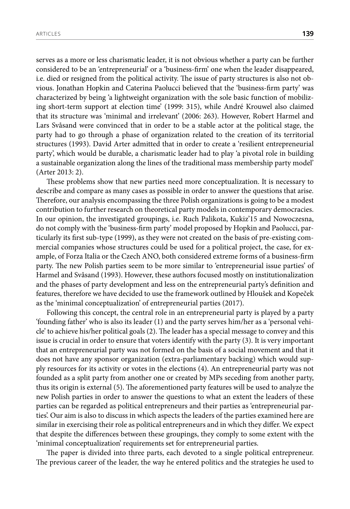serves as a more or less charismatic leader, it is not obvious whether a party can be further considered to be an 'entrepreneurial' or a 'business-firm' one when the leader disappeared, i.e. died or resigned from the political activity. The issue of party structures is also not obvious. Jonathan Hopkin and Caterina Paolucci believed that the 'business-firm party' was characterized by being 'a lightweight organization with the sole basic function of mobilizing short-term support at election time' (1999: 315), while André Krouwel also claimed that its structure was 'minimal and irrelevant' (2006: 263). However, Robert Harmel and Lars Svåsand were convinced that in order to be a stable actor at the political stage, the party had to go through a phase of organization related to the creation of its territorial structures (1993). David Arter admitted that in order to create a 'resilient entrepreneurial party', which would be durable, a charismatic leader had to play 'a pivotal role in building a sustainable organization along the lines of the traditional mass membership party model' (Arter 2013: 2).

These problems show that new parties need more conceptualization. It is necessary to describe and compare as many cases as possible in order to answer the questions that arise. Therefore, our analysis encompassing the three Polish organizations is going to be a modest contribution to further research on theoretical party models in contemporary democracies. In our opinion, the investigated groupings, i.e. Ruch Palikota, Kukiz'15 and Nowoczesna, do not comply with the 'business-firm party' model proposed by Hopkin and Paolucci, particularly its first sub-type (1999), as they were not created on the basis of pre-existing commercial companies whose structures could be used for a political project, the case, for example, of Forza Italia or the Czech ANO, both considered extreme forms of a business-firm party. The new Polish parties seem to be more similar to 'entrepreneurial issue parties' of Harmel and Svåsand (1993). However, these authors focused mostly on institutionalization and the phases of party development and less on the entrepreneurial party's definition and features, therefore we have decided to use the framework outlined by Hloušek and Kopeček as the 'minimal conceptualization' of entrepreneurial parties (2017).

Following this concept, the central role in an entrepreneurial party is played by a party 'founding father' who is also its leader (1) and the party serves him/her as a 'personal vehicle' to achieve his/her political goals (2). The leader has a special message to convey and this issue is crucial in order to ensure that voters identify with the party (3). It is very important that an entrepreneurial party was not formed on the basis of a social movement and that it does not have any sponsor organization (extra-parliamentary backing) which would supply resources for its activity or votes in the elections (4). An entrepreneurial party was not founded as a split party from another one or created by MPs seceding from another party, thus its origin is external (5). The aforementioned party features will be used to analyze the new Polish parties in order to answer the questions to what an extent the leaders of these parties can be regarded as political entrepreneurs and their parties as 'entrepreneurial parties'. Our aim is also to discuss in which aspects the leaders of the parties examined here are similar in exercising their role as political entrepreneurs and in which they differ. We expect that despite the differences between these groupings, they comply to some extent with the 'minimal conceptualization' requirements set for entrepreneurial parties.

The paper is divided into three parts, each devoted to a single political entrepreneur. The previous career of the leader, the way he entered politics and the strategies he used to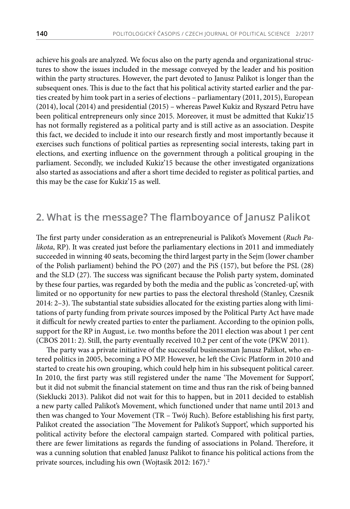achieve his goals are analyzed*.* We focus also on the party agenda and organizational structures to show the issues included in the message conveyed by the leader and his position within the party structures. However, the part devoted to Janusz Palikot is longer than the subsequent ones. This is due to the fact that his political activity started earlier and the parties created by him took part in a series of elections – parliamentary (2011, 2015), European (2014), local (2014) and presidential (2015) – whereas Paweł Kukiz and Ryszard Petru have been political entrepreneurs only since 2015. Moreover, it must be admitted that Kukiz'15 has not formally registered as a political party and is still active as an association. Despite this fact, we decided to include it into our research firstly and most importantly because it exercises such functions of political parties as representing social interests, taking part in elections, and exerting influence on the government through a political grouping in the parliament. Secondly, we included Kukiz'15 because the other investigated organizations also started as associations and after a short time decided to register as political parties, and this may be the case for Kukiz'15 as well.

#### **2. What is the message? The flamboyance of Janusz Palikot**

The first party under consideration as an entrepreneurial is Palikot's Movement (*Ruch Palikota*, RP). It was created just before the parliamentary elections in 2011 and immediately succeeded in winning 40 seats, becoming the third largest party in the Sejm (lower chamber of the Polish parliament) behind the PO (207) and the PiS (157), but before the PSL (28) and the SLD (27). The success was significant because the Polish party system, dominated by these four parties, was regarded by both the media and the public as 'concreted-up', with limited or no opportunity for new parties to pass the electoral threshold (Stanley, Czesnik 2014: 2–3). The substantial state subsidies allocated for the existing parties along with limitations of party funding from private sources imposed by the Political Party Act have made it difficult for newly created parties to enter the parliament. According to the opinion polls, support for the RP in August, i.e. two months before the 2011 election was about 1 per cent (CBOS 2011: 2). Still, the party eventually received 10.2 per cent of the vote (PKW 2011).

The party was a private initiative of the successful businessman Janusz Palikot, who entered politics in 2005, becoming a PO MP. However, he left the Civic Platform in 2010 and started to create his own grouping, which could help him in his subsequent political career. In 2010, the first party was still registered under the name 'The Movement for Support', but it did not submit the financial statement on time and thus ran the risk of being banned (Sieklucki 2013). Palikot did not wait for this to happen, but in 2011 decided to establish a new party called Palikot's Movement, which functioned under that name until 2013 and then was changed to Your Movement (TR – Twój Ruch). Before establishing his first party, Palikot created the association 'The Movement for Palikot's Support', which supported his political activity before the electoral campaign started. Compared with political parties, there are fewer limitations as regards the funding of associations in Poland. Therefore, it was a cunning solution that enabled Janusz Palikot to finance his political actions from the private sources, including his own (Wojtasik 2012: 167).<sup>2</sup>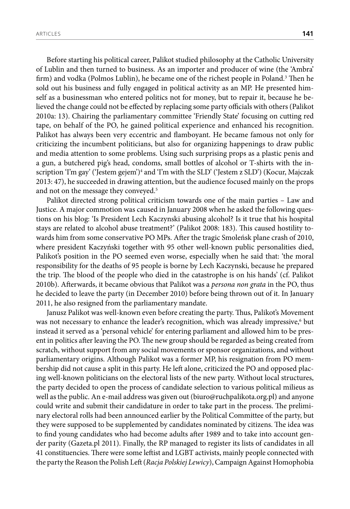Before starting his political career, Palikot studied philosophy at the Catholic University of Lublin and then turned to business. As an importer and producer of wine (the 'Ambra' firm) and vodka (Polmos Lublin), he became one of the richest people in Poland.<sup>3</sup> Then he sold out his business and fully engaged in political activity as an MP. He presented himself as a businessman who entered politics not for money, but to repair it, because he believed the change could not be effected by replacing some party officials with others (Palikot 2010a: 13). Chairing the parliamentary committee 'Friendly State' focusing on cutting red tape, on behalf of the PO, he gained political experience and enhanced his recognition. Palikot has always been very eccentric and flamboyant. He became famous not only for criticizing the incumbent politicians, but also for organizing happenings to draw public and media attention to some problems. Using such surprising props as a plastic penis and a gun, a butchered pig's head, condoms, small bottles of alcohol or T-shirts with the inscription 'I'm gay' ('Jestem gejem')4 and 'I'm with the SLD' ('Jestem z SLD') (Kocur, Majczak 2013: 47), he succeeded in drawing attention, but the audience focused mainly on the props and not on the message they conveyed.<sup>5</sup>

Palikot directed strong political criticism towards one of the main parties – Law and Justice. A major commotion was caused in January 2008 when he asked the following questions on his blog: 'Is President Lech Kaczynski abusing alcohol? Is it true that his hospital stays are related to alcohol abuse treatment?' (Palikot 2008: 183). This caused hostility towards him from some conservative PO MPs. After the tragic Smoleńsk plane crash of 2010, where president Kaczyński together with 95 other well-known public personalities died, Palikot's position in the PO seemed even worse, especially when he said that: 'the moral responsibility for the deaths of 95 people is borne by Lech Kaczynski, because he prepared the trip. The blood of the people who died in the catastrophe is on his hands' (cf. Palikot 2010b). Afterwards, it became obvious that Palikot was a *persona non grata* in the PO, thus he decided to leave the party (in December 2010) before being thrown out of it. In January 2011, he also resigned from the parliamentary mandate.

Janusz Palikot was well-known even before creating the party. Thus, Palikot's Movement was not necessary to enhance the leader's recognition, which was already impressive,<sup>6</sup> but instead it served as a 'personal vehicle' for entering parliament and allowed him to be present in politics after leaving the PO. The new group should be regarded as being created from scratch, without support from any social movements or sponsor organizations, and without parliamentary origins. Although Palikot was a former MP, his resignation from PO membership did not cause a split in this party. He left alone, criticized the PO and opposed placing well-known politicians on the electoral lists of the new party. Without local structures, the party decided to open the process of candidate selection to various political milieus as well as the public. An e-mail address was given out (biuro@ruchpalikota.org.pl) and anyone could write and submit their candidature in order to take part in the process. The preliminary electoral rolls had been announced earlier by the Political Committee of the party, but they were supposed to be supplemented by candidates nominated by citizens. The idea was to find young candidates who had become adults after 1989 and to take into account gender parity (Gazeta.pl 2011). Finally, the RP managed to register its lists of candidates in all 41 constituencies. There were some leftist and LGBT activists, mainly people connected with the party the Reason the Polish Left (*Racja Polskiej Lewicy*), Campaign Against Homophobia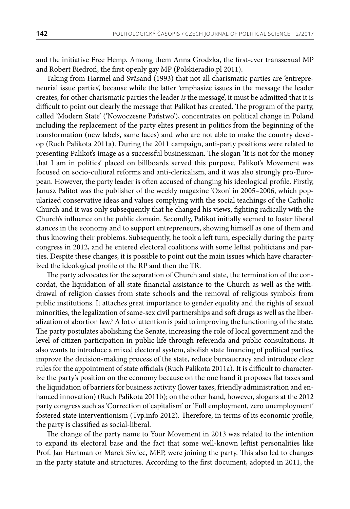and the initiative Free Hemp. Among them Anna Grodzka, the first-ever transsexual MP and Robert Biedroń, the first openly gay MP (Polskieradio.pl 2011).

Taking from Harmel and Svåsand (1993) that not all charismatic parties are 'entrepreneurial issue parties', because while the latter 'emphasize issues in the message the leader creates, for other charismatic parties the leader *is* the message', it must be admitted that it is difficult to point out clearly the message that Palikot has created. The program of the party, called 'Modern State' ('Nowoczesne Państwo'), concentrates on political change in Poland including the replacement of the party elites present in politics from the beginning of the transformation (new labels, same faces) and who are not able to make the country develop (Ruch Palikota 2011a). During the 2011 campaign, anti-party positions were related to presenting Palikot's image as a successful businessman. The slogan 'It is not for the money that I am in politics' placed on billboards served this purpose. Palikot's Movement was focused on socio-cultural reforms and anti-clericalism, and it was also strongly pro-European. However, the party leader is often accused of changing his ideological profile. Firstly, Janusz Palitot was the publisher of the weekly magazine 'Ozon' in 2005–2006, which popularized conservative ideas and values complying with the social teachings of the Catholic Church and it was only subsequently that he changed his views, fighting radically with the Church's influence on the public domain. Secondly, Palikot initially seemed to foster liberal stances in the economy and to support entrepreneurs, showing himself as one of them and thus knowing their problems. Subsequently, he took a left turn, especially during the party congress in 2012, and he entered electoral coalitions with some leftist politicians and parties. Despite these changes, it is possible to point out the main issues which have characterized the ideological profile of the RP and then the TR.

The party advocates for the separation of Church and state, the termination of the concordat, the liquidation of all state financial assistance to the Church as well as the withdrawal of religion classes from state schools and the removal of religious symbols from public institutions. It attaches great importance to gender equality and the rights of sexual minorities, the legalization of same-sex civil partnerships and soft drugs as well as the liberalization of abortion law.7 A lot of attention is paid to improving the functioning of the state. The party postulates abolishing the Senate, increasing the role of local government and the level of citizen participation in public life through referenda and public consultations. It also wants to introduce a mixed electoral system, abolish state financing of political parties, improve the decision-making process of the state, reduce bureaucracy and introduce clear rules for the appointment of state officials (Ruch Palikota 2011a). It is difficult to characterize the party's position on the economy because on the one hand it proposes flat taxes and the liquidation of barriers for business activity (lower taxes, friendly administration and enhanced innovation) (Ruch Palikota 2011b); on the other hand, however, slogans at the 2012 party congress such as 'Correction of capitalism' or 'Full employment, zero unemployment' fostered state interventionism (Tvp.info 2012). Therefore, in terms of its economic profile, the party is classified as social-liberal.

The change of the party name to Your Movement in 2013 was related to the intention to expand its electoral base and the fact that some well-known leftist personalities like Prof. Jan Hartman or Marek Siwiec, MEP, were joining the party. This also led to changes in the party statute and structures. According to the first document, adopted in 2011, the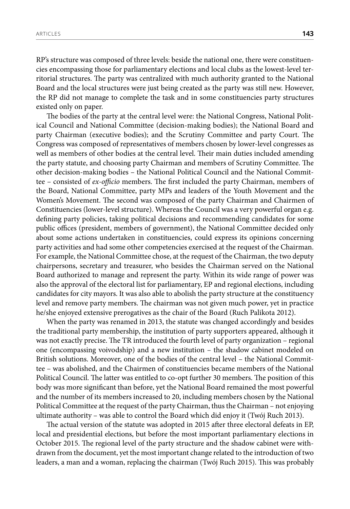RP's structure was composed of three levels: beside the national one, there were constituencies encompassing those for parliamentary elections and local clubs as the lowest-level territorial structures. The party was centralized with much authority granted to the National Board and the local structures were just being created as the party was still new. However, the RP did not manage to complete the task and in some constituencies party structures existed only on paper.

The bodies of the party at the central level were: the National Congress, National Political Council and National Committee (decision-making bodies); the National Board and party Chairman (executive bodies); and the Scrutiny Committee and party Court. The Congress was composed of representatives of members chosen by lower-level congresses as well as members of other bodies at the central level. Their main duties included amending the party statute, and choosing party Chairman and members of Scrutiny Committee. The other decision-making bodies – the National Political Council and the National Committee – consisted of *ex-officio* members. The first included the party Chairman, members of the Board, National Committee, party MPs and leaders of the Youth Movement and the Women's Movement. The second was composed of the party Chairman and Chairmen of Constituencies (lower-level structure). Whereas the Council was a very powerful organ e.g. defining party policies, taking political decisions and recommending candidates for some public offices (president, members of government), the National Committee decided only about some actions undertaken in constituencies, could express its opinions concerning party activities and had some other competencies exercised at the request of the Chairman. For example, the National Committee chose, at the request of the Chairman, the two deputy chairpersons, secretary and treasurer, who besides the Chairman served on the National Board authorized to manage and represent the party. Within its wide range of power was also the approval of the electoral list for parliamentary, EP and regional elections, including candidates for city mayors. It was also able to abolish the party structure at the constituency level and remove party members. The chairman was not given much power, yet in practice he/she enjoyed extensive prerogatives as the chair of the Board (Ruch Palikota 2012).

When the party was renamed in 2013, the statute was changed accordingly and besides the traditional party membership, the institution of party supporters appeared, although it was not exactly precise. The TR introduced the fourth level of party organization – regional one (encompassing voivodship) and a new institution – the shadow cabinet modeled on British solutions. Moreover, one of the bodies of the central level – the National Committee – was abolished, and the Chairmen of constituencies became members of the National Political Council. The latter was entitled to co-opt further 30 members. The position of this body was more significant than before, yet the National Board remained the most powerful and the number of its members increased to 20, including members chosen by the National Political Committee at the request of the party Chairman, thus the Chairman – not enjoying ultimate authority – was able to control the Board which did enjoy it (Twój Ruch 2013).

The actual version of the statute was adopted in 2015 after three electoral defeats in EP, local and presidential elections, but before the most important parliamentary elections in October 2015. The regional level of the party structure and the shadow cabinet were withdrawn from the document, yet the most important change related to the introduction of two leaders, a man and a woman, replacing the chairman (Twój Ruch 2015). This was probably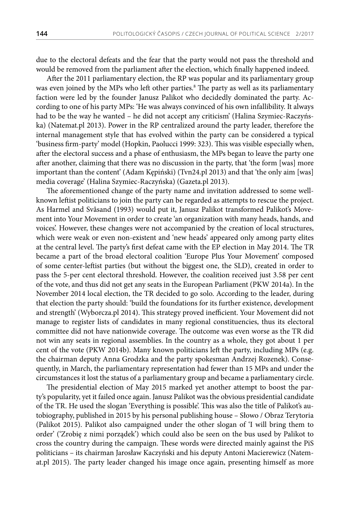due to the electoral defeats and the fear that the party would not pass the threshold and would be removed from the parliament after the election, which finally happened indeed.

After the 2011 parliamentary election, the RP was popular and its parliamentary group was even joined by the MPs who left other parties.<sup>8</sup> The party as well as its parliamentary faction were led by the founder Janusz Palikot who decidedly dominated the party. According to one of his party MPs: 'He was always convinced of his own infallibility. It always had to be the way he wanted – he did not accept any criticism' (Halina Szymiec-Raczyńska) (Natemat.pl 2013). Power in the RP centralized around the party leader, therefore the internal management style that has evolved within the party can be considered a typical 'business firm-party' model (Hopkin, Paolucci 1999: 323). This was visible especially when, after the electoral success and a phase of enthusiasm, the MPs began to leave the party one after another, claiming that there was no discussion in the party, that 'the form [was] more important than the content' (Adam Kępiński) (Tvn24.pl 2013) and that 'the only aim [was] media coverage' (Halina Szymiec-Raczyńska) (Gazeta.pl 2013).

The aforementioned change of the party name and invitation addressed to some wellknown leftist politicians to join the party can be regarded as attempts to rescue the project. As Harmel and Svåsand (1993) would put it, Janusz Palikot transformed Palikot's Movement into Your Movement in order to create 'an organization with many heads, hands, and voices'. However, these changes were not accompanied by the creation of local structures, which were weak or even non-existent and 'new heads' appeared only among party elites at the central level. The party's first defeat came with the EP election in May 2014. The TR became a part of the broad electoral coalition 'Europe Plus Your Movement' composed of some center-leftist parties (but without the biggest one, the SLD), created in order to pass the 5-per cent electoral threshold. However, the coalition received just 3.58 per cent of the vote, and thus did not get any seats in the European Parliament (PKW 2014a). In the November 2014 local election, the TR decided to go solo. According to the leader, during that election the party should: 'build the foundations for its further existence, development and strength' (Wyborcza.pl 2014). This strategy proved inefficient. Your Movement did not manage to register lists of candidates in many regional constituencies, thus its electoral committee did not have nationwide coverage. The outcome was even worse as the TR did not win any seats in regional assemblies. In the country as a whole, they got about 1 per cent of the vote (PKW 2014b). Many known politicians left the party, including MPs (e.g. the chairman deputy Anna Grodzka and the party spokesman Andrzej Rozenek). Consequently, in March, the parliamentary representation had fewer than 15 MPs and under the circumstances it lost the status of a parliamentary group and became a parliamentary circle.

The presidential election of May 2015 marked yet another attempt to boost the party's popularity, yet it failed once again. Janusz Palikot was the obvious presidential candidate of the TR. He used the slogan 'Everything is possible'. This was also the title of Palikot's autobiography, published in 2015 by his personal publishing house – Słowo / Obraz Terytoria (Palikot 2015). Palikot also campaigned under the other slogan of 'I will bring them to order' ('Zrobię z nimi porządek') which could also be seen on the bus used by Palikot to cross the country during the campaign. These words were directed mainly against the PiS politicians – its chairman Jarosław Kaczyński and his deputy Antoni Macierewicz (Natemat.pl 2015). The party leader changed his image once again, presenting himself as more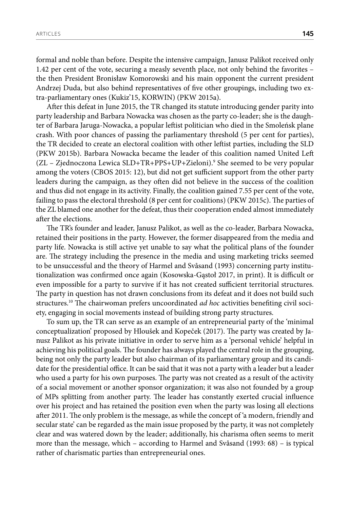formal and noble than before. Despite the intensive campaign, Janusz Palikot received only 1.42 per cent of the vote, securing a measly seventh place, not only behind the favorites – the then President Bronisław Komorowski and his main opponent the current president Andrzej Duda, but also behind representatives of five other groupings, including two extra-parliamentary ones (Kukiz'15, KORWIN) (PKW 2015a).

After this defeat in June 2015, the TR changed its statute introducing gender parity into party leadership and Barbara Nowacka was chosen as the party co-leader; she is the daughter of Barbara Jaruga-Nowacka, a popular leftist politician who died in the Smoleńsk plane crash. With poor chances of passing the parliamentary threshold (5 per cent for parties), the TR decided to create an electoral coalition with other leftist parties, including the SLD (PKW 2015b). Barbara Nowacka became the leader of this coalition named United Left (ZL – Zjednoczona Lewica SLD+TR+PPS+UP+Zieloni).9 She seemed to be very popular among the voters (CBOS 2015: 12), but did not get sufficient support from the other party leaders during the campaign, as they often did not believe in the success of the coalition and thus did not engage in its activity. Finally, the coalition gained 7.55 per cent of the vote, failing to pass the electoral threshold (8 per cent for coalitions) (PKW 2015c). The parties of the ZL blamed one another for the defeat, thus their cooperation ended almost immediately after the elections.

The TR's founder and leader, Janusz Palikot, as well as the co-leader, Barbara Nowacka, retained their positions in the party. However, the former disappeared from the media and party life. Nowacka is still active yet unable to say what the political plans of the founder are. The strategy including the presence in the media and using marketing tricks seemed to be unsuccessful and the theory of Harmel and Svåsand (1993) concerning party institutionalization was confirmed once again (Kosowska-Gąstoł 2017, in print). It is difficult or even impossible for a party to survive if it has not created sufficient territorial structures. The party in question has not drawn conclusions from its defeat and it does not build such structures.<sup>10</sup> The chairwoman prefers uncoordinated *ad hoc* activities benefiting civil society, engaging in social movements instead of building strong party structures.

To sum up, the TR can serve as an example of an entrepreneurial party of the 'minimal conceptualization' proposed by Hloušek and Kopeček (2017). The party was created by Janusz Palikot as his private initiative in order to serve him as a 'personal vehicle' helpful in achieving his political goals. The founder has always played the central role in the grouping, being not only the party leader but also chairman of its parliamentary group and its candidate for the presidential office. It can be said that it was not a party with a leader but a leader who used a party for his own purposes. The party was not created as a result of the activity of a social movement or another sponsor organization; it was also not founded by a group of MPs splitting from another party. The leader has constantly exerted crucial influence over his project and has retained the position even when the party was losing all elections after 2011. The only problem is the message, as while the concept of 'a modern, friendly and secular state' can be regarded as the main issue proposed by the party, it was not completely clear and was watered down by the leader; additionally, his charisma often seems to merit more than the message, which – according to Harmel and Svåsand (1993: 68) – is typical rather of charismatic parties than entrepreneurial ones.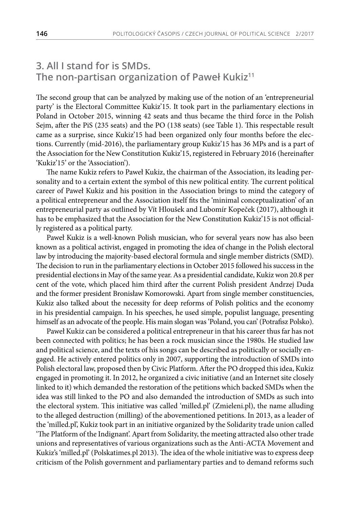## **3. All I stand for is SMDs. The non-partisan organization of Paweł Kukiz<sup>11</sup>**

The second group that can be analyzed by making use of the notion of an 'entrepreneurial party' is the Electoral Committee Kukiz'15. It took part in the parliamentary elections in Poland in October 2015, winning 42 seats and thus became the third force in the Polish Sejm, after the PiS (235 seats) and the PO (138 seats) (see Table 1). This respectable result came as a surprise, since Kukiz'15 had been organized only four months before the elections. Currently (mid-2016), the parliamentary group Kukiz'15 has 36 MPs and is a part of the Association for the New Constitution Kukiz'15, registered in February 2016 (hereinafter 'Kukiz'15' or the 'Association').

The name Kukiz refers to Paweł Kukiz, the chairman of the Association, its leading personality and to a certain extent the symbol of this new political entity. The current political career of Paweł Kukiz and his position in the Association brings to mind the category of a political entrepreneur and the Association itself fits the 'minimal conceptualization' of an entrepreneurial party as outlined by Vít Hloušek and Lubomír Kopeček (2017), although it has to be emphasized that the Association for the New Constitution Kukiz'15 is not officially registered as a political party.

Paweł Kukiz is a well-known Polish musician, who for several years now has also been known as a political activist, engaged in promoting the idea of change in the Polish electoral law by introducing the majority-based electoral formula and single member districts (SMD). The decision to run in the parliamentary elections in October 2015 followed his success in the presidential elections in May of the same year. As a presidential candidate, Kukiz won 20.8 per cent of the vote, which placed him third after the current Polish president Andrzej Duda and the former president Bronisław Komorowski. Apart from single member constituencies, Kukiz also talked about the necessity for deep reforms of Polish politics and the economy in his presidential campaign. In his speeches, he used simple, populist language, presenting himself as an advocate of the people. His main slogan was 'Poland, you can' (Potrafisz Polsko).

Paweł Kukiz can be considered a political entrepreneur in that his career thus far has not been connected with politics; he has been a rock musician since the 1980s. He studied law and political science, and the texts of his songs can be described as politically or socially engaged. He actively entered politics only in 2007, supporting the introduction of SMDs into Polish electoral law, proposed then by Civic Platform. After the PO dropped this idea, Kukiz engaged in promoting it. In 2012, he organized a civic initiative (and an Internet site closely linked to it) which demanded the restoration of the petitions which backed SMDs when the idea was still linked to the PO and also demanded the introduction of SMDs as such into the electoral system. This initiative was called 'milled.pl' (Zmieleni.pl), the name alluding to the alleged destruction (milling) of the abovementioned petitions. In 2013, as a leader of the 'milled.pl', Kukiz took part in an initiative organized by the Solidarity trade union called 'The Platform of the Indignant'. Apart from Solidarity, the meeting attracted also other trade unions and representatives of various organizations such as the Anti-ACTA Movement and Kukiz's 'milled.pl' (Polskatimes.pl 2013). The idea of the whole initiative was to express deep criticism of the Polish government and parliamentary parties and to demand reforms such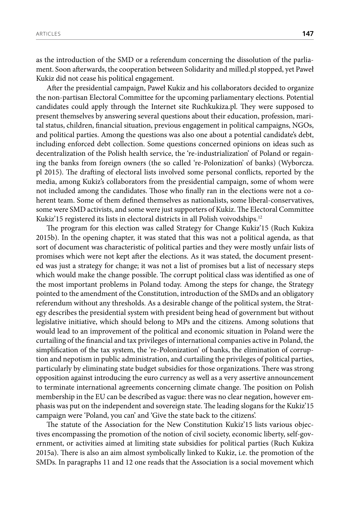as the introduction of the SMD or a referendum concerning the dissolution of the parliament. Soon afterwards, the cooperation between Solidarity and milled.pl stopped, yet Paweł Kukiz did not cease his political engagement.

After the presidential campaign, Paweł Kukiz and his collaborators decided to organize the non-partisan Electoral Committee for the upcoming parliamentary elections. Potential candidates could apply through the Internet site Ruchkukiza.pl. They were supposed to present themselves by answering several questions about their education, profession, marital status, children, financial situation, previous engagement in political campaigns, NGOs, and political parties. Among the questions was also one about a potential candidate's debt, including enforced debt collection. Some questions concerned opinions on ideas such as decentralization of the Polish health service, the 're-industrialization' of Poland or regaining the banks from foreign owners (the so called 're-Polonization' of banks) (Wyborcza. pl 2015). The drafting of electoral lists involved some personal conflicts, reported by the media, among Kukiz's collaborators from the presidential campaign, some of whom were not included among the candidates. Those who finally ran in the elections were not a coherent team. Some of them defined themselves as nationalists, some liberal-conservatives, some were SMD activists, and some were just supporters of Kukiz. The Electoral Committee Kukiz'15 registered its lists in electoral districts in all Polish voivodships.<sup>12</sup>

The program for this election was called Strategy for Change Kukiz'15 (Ruch Kukiza 2015b). In the opening chapter, it was stated that this was not a political agenda, as that sort of document was characteristic of political parties and they were mostly unfair lists of promises which were not kept after the elections. As it was stated, the document presented was just a strategy for change; it was not a list of promises but a list of necessary steps which would make the change possible. The corrupt political class was identified as one of the most important problems in Poland today. Among the steps for change, the Strategy pointed to the amendment of the Constitution, introduction of the SMDs and an obligatory referendum without any thresholds. As a desirable change of the political system, the Strategy describes the presidential system with president being head of government but without legislative initiative, which should belong to MPs and the citizens. Among solutions that would lead to an improvement of the political and economic situation in Poland were the curtailing of the financial and tax privileges of international companies active in Poland, the simplification of the tax system, the 're-Polonization' of banks, the elimination of corruption and nepotism in public administration, and curtailing the privileges of political parties, particularly by eliminating state budget subsidies for those organizations. There was strong opposition against introducing the euro currency as well as a very assertive announcement to terminate international agreements concerning climate change. The position on Polish membership in the EU can be described as vague: there was no clear negation, however emphasis was put on the independent and sovereign state. The leading slogans for the Kukiz'15 campaign were 'Poland, you can' and 'Give the state back to the citizens'.

The statute of the Association for the New Constitution Kukiz'15 lists various objectives encompassing the promotion of the notion of civil society, economic liberty, self-government, or activities aimed at limiting state subsidies for political parties (Ruch Kukiza 2015a). There is also an aim almost symbolically linked to Kukiz, i.e. the promotion of the SMDs. In paragraphs 11 and 12 one reads that the Association is a social movement which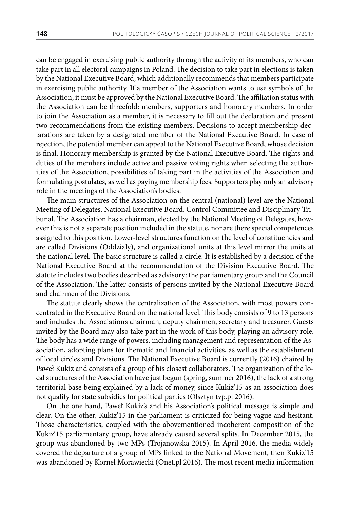can be engaged in exercising public authority through the activity of its members, who can take part in all electoral campaigns in Poland. The decision to take part in elections is taken by the National Executive Board, which additionally recommends that members participate in exercising public authority. If a member of the Association wants to use symbols of the Association, it must be approved by the National Executive Board. The affiliation status with the Association can be threefold: members, supporters and honorary members. In order to join the Association as a member, it is necessary to fill out the declaration and present two recommendations from the existing members. Decisions to accept membership declarations are taken by a designated member of the National Executive Board. In case of rejection, the potential member can appeal to the National Executive Board, whose decision is final. Honorary membership is granted by the National Executive Board. The rights and duties of the members include active and passive voting rights when selecting the authorities of the Association, possibilities of taking part in the activities of the Association and formulating postulates, as well as paying membership fees. Supporters play only an advisory role in the meetings of the Association's bodies.

The main structures of the Association on the central (national) level are the National Meeting of Delegates, National Executive Board, Control Committee and Disciplinary Tribunal. The Association has a chairman, elected by the National Meeting of Delegates, however this is not a separate position included in the statute, nor are there special competences assigned to this position. Lower-level structures function on the level of constituencies and are called Divisions (Oddziały), and organizational units at this level mirror the units at the national level. The basic structure is called a circle. It is established by a decision of the National Executive Board at the recommendation of the Division Executive Board. The statute includes two bodies described as advisory: the parliamentary group and the Council of the Association. The latter consists of persons invited by the National Executive Board and chairmen of the Divisions.

The statute clearly shows the centralization of the Association, with most powers concentrated in the Executive Board on the national level. This body consists of 9 to 13 persons and includes the Association's chairman, deputy chairmen, secretary and treasurer. Guests invited by the Board may also take part in the work of this body, playing an advisory role. The body has a wide range of powers, including management and representation of the Association, adopting plans for thematic and financial activities, as well as the establishment of local circles and Divisions. The National Executive Board is currently (2016) chaired by Paweł Kukiz and consists of a group of his closest collaborators. The organization of the local structures of the Association have just begun (spring, summer 2016), the lack of a strong territorial base being explained by a lack of money, since Kukiz'15 as an association does not qualify for state subsidies for political parties (Olsztyn tvp.pl 2016).

On the one hand, Paweł Kukiz's and his Association's political message is simple and clear. On the other, Kukiz'15 in the parliament is criticized for being vague and hesitant. Those characteristics, coupled with the abovementioned incoherent composition of the Kukiz'15 parliamentary group, have already caused several splits. In December 2015, the group was abandoned by two MPs (Trojanowska 2015). In April 2016, the media widely covered the departure of a group of MPs linked to the National Movement, then Kukiz'15 was abandoned by Kornel Morawiecki (Onet.pl 2016). The most recent media information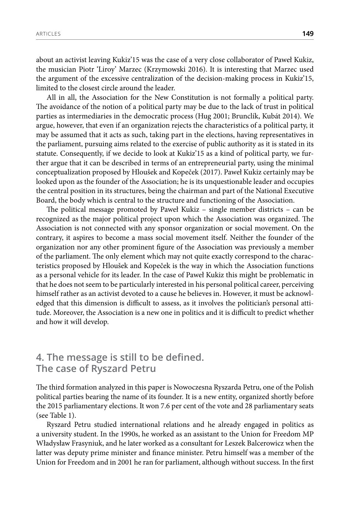about an activist leaving Kukiz'15 was the case of a very close collaborator of Paweł Kukiz, the musician Piotr 'Liroy' Marzec (Krzymowski 2016). It is interesting that Marzec used the argument of the excessive centralization of the decision-making process in Kukiz'15, limited to the closest circle around the leader.

All in all, the Association for the New Constitution is not formally a political party. The avoidance of the notion of a political party may be due to the lack of trust in political parties as intermediaries in the democratic process (Hug 2001; Brunclík, Kubát 2014). We argue, however, that even if an organization rejects the characteristics of a political party, it may be assumed that it acts as such, taking part in the elections, having representatives in the parliament, pursuing aims related to the exercise of public authority as it is stated in its statute. Consequently, if we decide to look at Kukiz'15 as a kind of political party, we further argue that it can be described in terms of an entrepreneurial party, using the minimal conceptualization proposed by Hloušek and Kopeček (2017). Paweł Kukiz certainly may be looked upon as the founder of the Association; he is its unquestionable leader and occupies the central position in its structures, being the chairman and part of the National Executive Board, the body which is central to the structure and functioning of the Association.

The political message promoted by Paweł Kukiz – single member districts – can be recognized as the major political project upon which the Association was organized. The Association is not connected with any sponsor organization or social movement. On the contrary, it aspires to become a mass social movement itself. Neither the founder of the organization nor any other prominent figure of the Association was previously a member of the parliament. The only element which may not quite exactly correspond to the characteristics proposed by Hloušek and Kopeček is the way in which the Association functions as a personal vehicle for its leader. In the case of Paweł Kukiz this might be problematic in that he does not seem to be particularly interested in his personal political career, perceiving himself rather as an activist devoted to a cause he believes in. However, it must be acknowledged that this dimension is difficult to assess, as it involves the politician's personal attitude. Moreover, the Association is a new one in politics and it is difficult to predict whether and how it will develop.

#### **4. The message is still to be defined. The case of Ryszard Petru**

The third formation analyzed in this paper is Nowoczesna Ryszarda Petru, one of the Polish political parties bearing the name of its founder. It is a new entity, organized shortly before the 2015 parliamentary elections. It won 7.6 per cent of the vote and 28 parliamentary seats (see Table 1).

Ryszard Petru studied international relations and he already engaged in politics as a university student. In the 1990s, he worked as an assistant to the Union for Freedom MP Władysław Frasyniuk, and he later worked as a consultant for Leszek Balcerowicz when the latter was deputy prime minister and finance minister. Petru himself was a member of the Union for Freedom and in 2001 he ran for parliament, although without success. In the first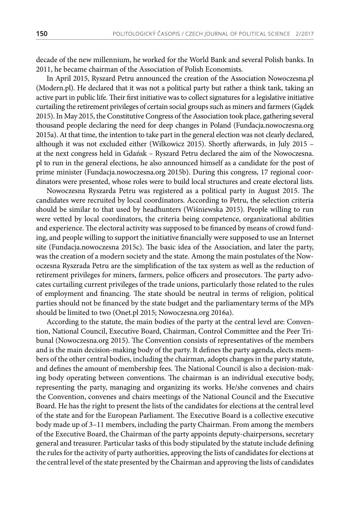decade of the new millennium, he worked for the World Bank and several Polish banks. In 2011, he became chairman of the Association of Polish Economists.

In April 2015, Ryszard Petru announced the creation of the Association Nowoczesna.pl (Modern.pl). He declared that it was not a political party but rather a think tank, taking an active part in public life. Their first initiative was to collect signatures for a legislative initiative curtailing the retirement privileges of certain social groups such as miners and farmers (Gądek 2015). In May 2015, the Constitutive Congress of the Association took place, gathering several thousand people declaring the need for deep changes in Poland (Fundacja.nowoczesna.org 2015a). At that time, the intention to take part in the general election was not clearly declared, although it was not excluded either (Wilkowicz 2015). Shortly afterwards, in July 2015 – at the next congress held in Gdańsk – Ryszard Petru declared the aim of the Nowoczesna. pl to run in the general elections, he also announced himself as a candidate for the post of prime minister (Fundacja.nowoczesna.org 2015b). During this congress, 17 regional coordinators were presented, whose roles were to build local structures and create electoral lists.

Nowoczesna Ryszarda Petru was registered as a political party in August 2015. The candidates were recruited by local coordinators. According to Petru, the selection criteria should be similar to that used by headhunters (Wiśniewska 2015). People willing to run were vetted by local coordinators, the criteria being competence, organizational abilities and experience. The electoral activity was supposed to be financed by means of crowd funding, and people willing to support the initiative financially were supposed to use an Internet site (Fundacja.nowoczesna 2015c). The basic idea of the Association, and later the party, was the creation of a modern society and the state. Among the main postulates of the Nowoczesna Ryszrada Petru are the simplification of the tax system as well as the reduction of retirement privileges for miners, farmers, police officers and prosecutors. The party advocates curtailing current privileges of the trade unions, particularly those related to the rules of employment and financing. The state should be neutral in terms of religion, political parties should not be financed by the state budget and the parliamentary terms of the MPs should be limited to two (Onet.pl 2015; Nowoczesna.org 2016a).

According to the statute, the main bodies of the party at the central level are: Convention, National Council, Executive Board, Chairman, Control Committee and the Peer Tribunal (Nowoczesna.org 2015). The Convention consists of representatives of the members and is the main decision-making body of the party. It defines the party agenda, elects members of the other central bodies, including the chairman, adopts changes in the party statute, and defines the amount of membership fees. The National Council is also a decision-making body operating between conventions. The chairman is an individual executive body, representing the party, managing and organizing its works. He/she convenes and chairs the Convention, convenes and chairs meetings of the National Council and the Executive Board. He has the right to present the lists of the candidates for elections at the central level of the state and for the European Parliament. The Executive Board is a collective executive body made up of 3–11 members, including the party Chairman. From among the members of the Executive Board, the Chairman of the party appoints deputy-chairpersons, secretary general and treasurer. Particular tasks of this body stipulated by the statute include defining the rules for the activity of party authorities, approving the lists of candidates for elections at the central level of the state presented by the Chairman and approving the lists of candidates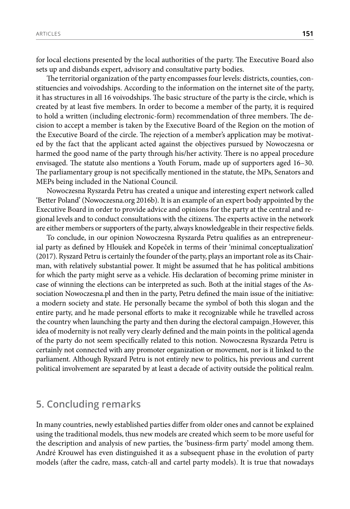for local elections presented by the local authorities of the party. The Executive Board also sets up and disbands expert, advisory and consultative party bodies.

The territorial organization of the party encompasses four levels: districts, counties, constituencies and voivodships. According to the information on the internet site of the party, it has structures in all 16 voivodships. The basic structure of the party is the circle, which is created by at least five members. In order to become a member of the party, it is required to hold a written (including electronic-form) recommendation of three members. The decision to accept a member is taken by the Executive Board of the Region on the motion of the Executive Board of the circle. The rejection of a member's application may be motivated by the fact that the applicant acted against the objectives pursued by Nowoczesna or harmed the good name of the party through his/her activity. There is no appeal procedure envisaged. The statute also mentions a Youth Forum, made up of supporters aged 16–30. The parliamentary group is not specifically mentioned in the statute, the MPs, Senators and MEPs being included in the National Council.

Nowoczesna Ryszarda Petru has created a unique and interesting expert network called 'Better Poland' (Nowoczesna.org 2016b). It is an example of an expert body appointed by the Executive Board in order to provide advice and opinions for the party at the central and regional levels and to conduct consultations with the citizens. The experts active in the network are either members or supporters of the party, always knowledgeable in their respective fields.

To conclude, in our opinion Nowoczesna Ryszarda Petru qualifies as an entrepreneurial party as defined by Hloušek and Kopeček in terms of their 'minimal conceptualization' (2017). Ryszard Petru is certainly the founder of the party, plays an important role as its Chairman, with relatively substantial power. It might be assumed that he has political ambitions for which the party might serve as a vehicle. His declaration of becoming prime minister in case of winning the elections can be interpreted as such. Both at the initial stages of the Association Nowoczesna.pl and then in the party, Petru defined the main issue of the initiative: a modern society and state. He personally became the symbol of both this slogan and the entire party, and he made personal efforts to make it recognizable while he travelled across the country when launching the party and then during the electoral campaign. However, this idea of modernity is not really very clearly defined and the main points in the political agenda of the party do not seem specifically related to this notion. Nowoczesna Ryszarda Petru is certainly not connected with any promoter organization or movement, nor is it linked to the parliament. Although Ryszard Petru is not entirely new to politics, his previous and current political involvement are separated by at least a decade of activity outside the political realm.

#### **5. Concluding remarks**

In many countries, newly established parties differ from older ones and cannot be explained using the traditional models, thus new models are created which seem to be more useful for the description and analysis of new parties, the 'business-firm party' model among them. André Krouwel has even distinguished it as a subsequent phase in the evolution of party models (after the cadre, mass, catch-all and cartel party models). It is true that nowadays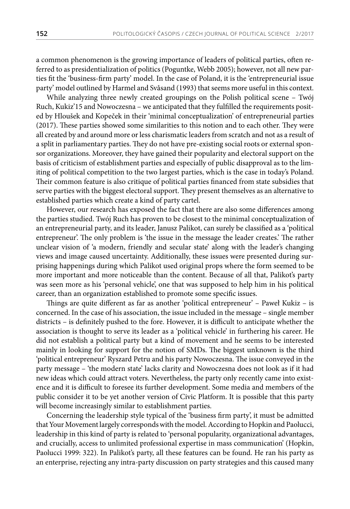a common phenomenon is the growing importance of leaders of political parties, often referred to as presidentialization of politics (Poguntke, Webb 2005); however, not all new parties fit the 'business-firm party' model. In the case of Poland, it is the 'entrepreneurial issue party' model outlined by Harmel and Svåsand (1993) that seems more useful in this context.

While analyzing three newly created groupings on the Polish political scene – Twój Ruch, Kukiz'15 and Nowoczesna – we anticipated that they fulfilled the requirements posited by Hloušek and Kopeček in their 'minimal conceptualization' of entrepreneurial parties (2017). These parties showed some similarities to this notion and to each other. They were all created by and around more or less charismatic leaders from scratch and not as a result of a split in parliamentary parties. They do not have pre-existing social roots or external sponsor organizations. Moreover, they have gained their popularity and electoral support on the basis of criticism of establishment parties and especially of public disapproval as to the limiting of political competition to the two largest parties, which is the case in today's Poland. Their common feature is also critique of political parties financed from state subsidies that serve parties with the biggest electoral support. They present themselves as an alternative to established parties which create a kind of party cartel.

However, our research has exposed the fact that there are also some differences among the parties studied. Twój Ruch has proven to be closest to the minimal conceptualization of an entrepreneurial party, and its leader, Janusz Palikot, can surely be classified as a 'political entrepreneur'. The only problem is 'the issue in the message the leader creates.' The rather unclear vision of 'a modern, friendly and secular state' along with the leader's changing views and image caused uncertainty. Additionally, these issues were presented during surprising happenings during which Palikot used original props where the form seemed to be more important and more noticeable than the content. Because of all that, Palikot's party was seen more as his 'personal vehicle', one that was supposed to help him in his political career, than an organization established to promote some specific issues.

Things are quite different as far as another 'political entrepreneur' – Paweł Kukiz – is concerned. In the case of his association, the issue included in the message – single member districts – is definitely pushed to the fore. However, it is difficult to anticipate whether the association is thought to serve its leader as a 'political vehicle' in furthering his career. He did not establish a political party but a kind of movement and he seems to be interested mainly in looking for support for the notion of SMDs. The biggest unknown is the third 'political entrepreneur' Ryszard Petru and his party Nowoczesna. The issue conveyed in the party message – 'the modern state' lacks clarity and Nowoczesna does not look as if it had new ideas which could attract voters. Nevertheless, the party only recently came into existence and it is difficult to foresee its further development. Some media and members of the public consider it to be yet another version of Civic Platform. It is possible that this party will become increasingly similar to establishment parties.

Concerning the leadership style typical of the 'business firm party', it must be admitted that Your Movement largely corresponds with the model. According to Hopkin and Paolucci, leadership in this kind of party is related to 'personal popularity, organizational advantages, and crucially, access to unlimited professional expertise in mass communication' (Hopkin, Paolucci 1999: 322). In Palikot's party, all these features can be found. He ran his party as an enterprise, rejecting any intra-party discussion on party strategies and this caused many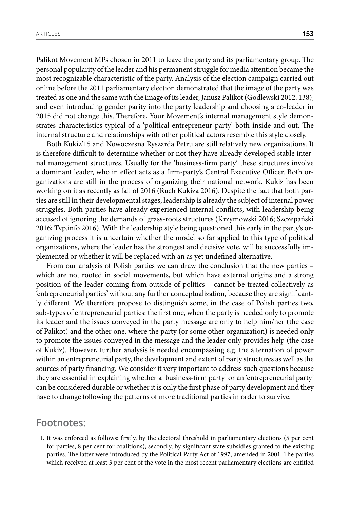Palikot Movement MPs chosen in 2011 to leave the party and its parliamentary group. The personal popularity of the leader and his permanent struggle for media attention became the most recognizable characteristic of the party. Analysis of the election campaign carried out online before the 2011 parliamentary election demonstrated that the image of the party was treated as one and the same with the image of its leader, Janusz Palikot (Godlewski 2012: 138), and even introducing gender parity into the party leadership and choosing a co-leader in 2015 did not change this. Therefore, Your Movement's internal management style demonstrates characteristics typical of a 'political entrepreneur party' both inside and out. The internal structure and relationships with other political actors resemble this style closely.

Both Kukiz'15 and Nowoczesna Ryszarda Petru are still relatively new organizations. It is therefore difficult to determine whether or not they have already developed stable internal management structures. Usually for the 'business-firm party' these structures involve a dominant leader, who in effect acts as a firm-party's Central Executive Officer. Both organizations are still in the process of organizing their national network. Kukiz has been working on it as recently as fall of 2016 (Ruch Kukiza 2016). Despite the fact that both parties are still in their developmental stages, leadership is already the subject of internal power struggles. Both parties have already experienced internal conflicts, with leadership being accused of ignoring the demands of grass-roots structures (Krzymowski 2016; Szczepański 2016; Tvp.info 2016). With the leadership style being questioned this early in the party's organizing process it is uncertain whether the model so far applied to this type of political organizations, where the leader has the strongest and decisive vote, will be successfully implemented or whether it will be replaced with an as yet undefined alternative.

From our analysis of Polish parties we can draw the conclusion that the new parties – which are not rooted in social movements, but which have external origins and a strong position of the leader coming from outside of politics – cannot be treated collectively as 'entrepreneurial parties' without any further conceptualization, because they are significantly different. We therefore propose to distinguish some, in the case of Polish parties two, sub-types of entrepreneurial parties: the first one, when the party is needed only to promote its leader and the issues conveyed in the party message are only to help him/her (the case of Palikot) and the other one, where the party (or some other organization) is needed only to promote the issues conveyed in the message and the leader only provides help (the case of Kukiz). However, further analysis is needed encompassing e.g. the alternation of power within an entrepreneurial party, the development and extent of party structures as well as the sources of party financing. We consider it very important to address such questions because they are essential in explaining whether a 'business-firm party' or an 'entrepreneurial party' can be considered durable or whether it is only the first phase of party development and they have to change following the patterns of more traditional parties in order to survive.

#### **Footnotes:**

1. It was enforced as follows: firstly, by the electoral threshold in parliamentary elections (5 per cent for parties, 8 per cent for coalitions); secondly, by significant state subsidies granted to the existing parties. The latter were introduced by the Political Party Act of 1997, amended in 2001. The parties which received at least 3 per cent of the vote in the most recent parliamentary elections are entitled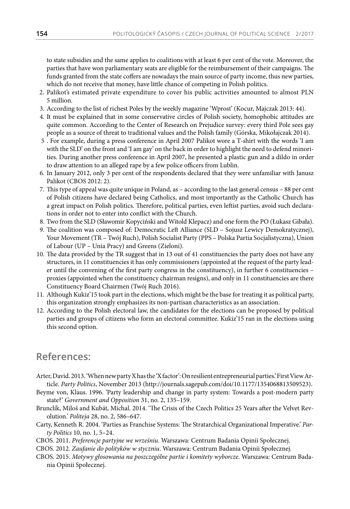to state subsidies and the same applies to coalitions with at least 6 per cent of the vote. Moreover, the parties that have won parliamentary seats are eligible for the reimbursement of their campaigns. The funds granted from the state coffers are nowadays the main source of party income, thus new parties, which do not receive that money, have little chance of competing in Polish politics.

- 2. Palikot's estimated private expenditure to cover his public activities amounted to almost PLN 5 million.
- 3. According to the list of richest Poles by the weekly magazine 'Wprost' (Kocur, Majczak 2013: 44).
- 4. It must be explained that in some conservative circles of Polish society, homophobic attitudes are quite common. According to the Center of Research on Prejudice survey: every third Pole sees gay people as a source of threat to traditional values and the Polish family (Górska, Mikołajczak 2014).
- 5 . For example, during a press conference in April 2007 Palikot wore a T-shirt with the words 'I am with the SLD' on the front and 'I am gay' on the back in order to highlight the need to defend minorities. During another press conference in April 2007, he presented a plastic gun and a dildo in order to draw attention to an alleged rape by a few police officers from Lublin.
- 6. In January 2012, only 3 per cent of the respondents declared that they were unfamiliar with Janusz Palikot (CBOS 2012: 2).
- 7. This type of appeal was quite unique in Poland, as according to the last general census 88 per cent of Polish citizens have declared being Catholics, and most importantly as the Catholic Church has a great impact on Polish politics. Therefore, political parties, even leftist parties, avoid such declarations in order not to enter into conflict with the Church.
- 8. Two from the SLD (Sławomir Kopyciński and Witold Klepacz) and one form the PO (Łukasz Gibała).
- 9. The coalition was composed of: Democratic Left Alliance (SLD Sojusz Lewicy Demokratycznej), Your Movement (TR – Twój Ruch), Polish Socialist Party (PPS – Polska Partia Socjalistyczna), Union of Labour (UP – Unia Pracy) and Greens (Zieloni).
- 10. The data provided by the TR suggest that in 13 out of 41 constituencies the party does not have any structures, in 11 constituencies it has only commissioners (appointed at the request of the party leader until the convening of the first party congress in the constituency), in further 6 constituencies – proxies (appointed when the constituency chairman resigns), and only in 11 constituencies are there Constituency Board Chairmen (Twój Ruch 2016).
- 11. Although Kukiz'15 took part in the elections, which might be the base for treating it as political party, this organization strongly emphasizes its non-partisan characteristics as an association.
- 12. According to the Polish electoral law, the candidates for the elections can be proposed by political parties and groups of citizens who form an electoral committee. Kukiz'15 ran in the elections using this second option.

# **References:**

- Arter, David. 2013. 'When new party X has the 'X factor': On resilient entrepreneurial parties.' First View Article. *Party Politics*, November 2013 (http://journals.sagepub.com/doi/10.1177/1354068813509523).
- Beyme von, Klaus. 1996. 'Party leadership and change in party system: Towards a post-modern party state?' *Government and Opposition* 31, no. 2, 135–159.
- Brunclík, Miloš and Kubát, Michal. 2014. 'The Crisis of the Czech Politics 25 Years after the Velvet Revolution.' *Politeja* 28, no. 2, 586–647.
- Carty, Kenneth R. 2004. 'Parties as Franchise Systems: The Stratarchical Organizational Imperative.' *Party Politics* 10, no. 1, 5–24.
- CBOS. 2011. *Preferencje partyjne we wrześniu*. Warszawa: Centrum Badania Opinii Społecznej.
- CBOS. 2012. *Zaufanie do polityków w styczniu*. Warszawa: Centrum Badania Opinii Społecznej.
- CBOS. 2015. *Motywy głosowania na poszczególne partie i komitety wyborcze*. Warszawa: Centrum Badania Opinii Społecznej.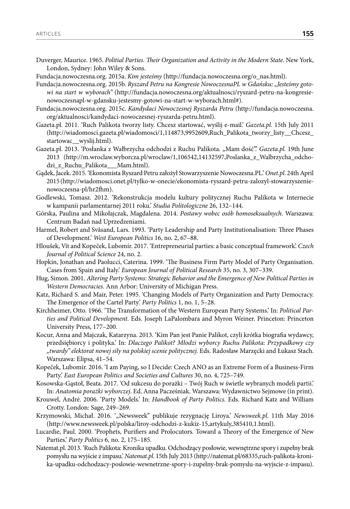- Duverger, Maurice. 1965. *Politial Parties. Their Organization and Activity in the Modern State*. New York, London, Sydney: John Wiley & Sons.
- Fundacja.nowoczesna.org. 2015a. *Kim jesteśmy* (http://fundacja.nowoczesna.org/o\_nas.html).
- Fundacja.nowoczesna.org. 2015b. *Ryszard Petru na Kongresie NowoczesnaPL w Gdańsku: "Jesteśmy gotowi na start w wyborach"* (http://fundacja.nowoczesna.org/aktualnosci/ryszard-petru-na-kongresienowoczesnapl-w-gdansku-jestesmy-gotowi-na-start-w-wyborach.html#).
- Fundacja.nowoczesna.org. 2015c. *Kandydaci Nowoczesnej Ryszarda Petru* (http://fundacja.nowoczesna. org/aktualnosci/kandydaci-nowoczesnej-ryszarda-petru.html).
- Gazeta.pl. 2011. 'Ruch Palikota tworzy listy. Chcesz startować, wyślij e-mail.' *Gazeta.pl.* 15th July 2011 (http://wiadomosci.gazeta.pl/wiadomosci/1,114873,9952609,Ruch\_Palikota\_tworzy\_listy\_\_Chcesz\_ startowac\_\_wyslij.html).
- Gazeta.pl. 2013. 'Posłanka z Wałbrzycha odchodzi z Ruchu Palikota. "Mam dość".' *Gazeta.pl.* 19th June 2013 (http://m.wroclaw.wyborcza.pl/wroclaw/1,106542,14132597,Poslanka\_z\_Walbrzycha\_odchodzi\_z\_Ruchu\_Palikota\_\_\_Mam.html).
- Gądek, Jacek. 2015. 'Ekonomista Ryszard Petru założył Stowarzyszenie Nowoczesna.PL.' *Onet.pl*. 24th April 2015 (http://wiadomosci.onet.pl/tylko-w-onecie/ekonomista-ryszard-petru-zalozyl-stowarzyszenienowoczesna-pl/hr2fhm).
- Godlewski, Tomasz. 2012. 'Rekonstrukcja modelu kultury politycznej Ruchu Palikota w Internecie w kampanii parlamentarnej 2011 roku.' *Studia Politologiczne* 26, 132–144.
- Górska, Paulina and Mikołajczak, Magdalena. 2014. *Postawy wobec osób homoseksualnych*. Warszawa: Centrum Badań nad Uprzedzeniami.
- Harmel, Robert and Svåsand, Lars. 1993. 'Party Leadership and Party Institutionalisation: Three Phases of Development.' *West European Politics* 16, no. 2, 67–88.
- Hloušek, Vít and Kopeček, Lubomír. 2017. 'Entrepreneurial parties: a basic conceptual framework'. *Czech Journal of Political Science* 24, no. 2.
- Hopkin, Jonathan and Paolucci, Caterina. 1999. 'The Business Firm Party Model of Party Organisation. Cases from Spain and Italy.' *European Journal of Political Research* 35, no. 3, 307–339.
- Hug, Simon. 2001. *Altering Party Systems: Strategic Behavior and the Emergence of New Political Parties in Western Democracies*. Ann Arbor: University of Michigan Press.
- Katz, Richard S. and Mair, Peter. 1995. 'Changing Models of Party Organization and Party Democracy. The Emergence of the Cartel Party.' *Party Politics* 1, no. 1, 5–28.
- Kirchheimer, Otto. 1966. 'The Transformation of the Western European Party Systems.' In: *Political Parties and Political Development*. Eds. Joseph LaPalombara and Myron Weiner. Princeton: Princeton University Press, 177–200.
- Kocur, Anna and Majczak, Katarzyna. 2013. 'Kim Pan jest Panie Palikot, czyli krótka biografia wydawcy, przedsiębiorcy i polityka.' In: *Dlaczego Palikot? Młodzi wyborcy Ruchu Palikota: Przypadkowy czy "twardy" elektorat nowej siły na polskiej scenie politycznej.* Eds. Radosław Marzęcki and Łukasz Stach. Warszawa: Elipsa, 41–54.
- Kopeček, Lubomír. 2016. 'I am Paying, so I Decide: Czech ANO as an Extreme Form of a Business-Firm Party.' *East European Politics and Societies and Cultures* 30, no. 4, 725–749.
- Kosowska-Gąstoł, Beata. 2017. 'Od sukcesu do porażki Twój Ruch w świetle wybranych modeli partii.' In: *Anatomia porażki wyborczej*. Ed. Anna Pacześniak. Warszawa: Wydawnictwo Sejmowe (in print).
- Krouwel, André. 2006. 'Party Models.' In: *Handbook of Party Politics.* Eds. Richard Katz and William Crotty. London: Sage, 249–269.
- Krzymowski, Michał. 2016. '"Newsweek" publikuje rezygnację Liroya.' *Newsweek.pl*. 11th May 2016 (http://www.newsweek.pl/polska/liroy-odchodzi-z-kukiz-15,artykuly,385410,1.html).
- Lucardie, Paul. 2000. 'Prophets, Purifiers and Prolocutors. Toward a Theory of the Emergence of New Parties.' *Party Politics* 6, no. 2, 175–185.
- Natemat.pl. 2013. 'Ruch Palikota: Kronika upadku. Odchodzący posłowie, wewnętrzne spory i zupełny brak pomysłu na wyjście z impasu.' *Natemat.pl*. 15th July 2013 (http://natemat.pl/68335,ruch-palikota-kronika-upadku-odchodzacy-poslowie-wewnetrzne-spory-i-zupelny-brak-pomyslu-na-wyjscie-z-impasu).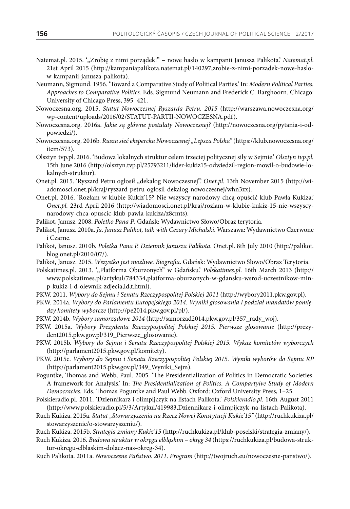- Natemat.pl. 2015. '"Zrobię z nimi porządek!" nowe hasło w kampanii Janusza Palikota.' *Natemat.pl.* 21st April 2015 (http://kampaniapalikota.natemat.pl/140297,zrobie-z-nimi-porzadek-nowe-haslow-kampanii-janusza-palikota).
- Neumann, Sigmund. 1956. 'Toward a Comparative Study of Political Parties.' In: *Modern Political Parties. Approaches to Comparative Politics.* Eds. Sigmund Neumann and Frederick C. Barghoorn. Chicago: University of Chicago Press, 395–421.
- Nowoczesna.org. 2015. *Statut Nowoczesnej Ryszarda Petru. 2015* (http://warszawa.nowoczesna.org/ wp-content/uploads/2016/02/STATUT-PARTII-NOWOCZESNA.pdf).
- Nowoczesna.org. 2016a. *Jakie są główne postulaty Nowoczesnej?* (http://nowoczesna.org/pytania-i-odpowiedzi/).
- Nowoczesna.org. 2016b. *Rusza sieć ekspercka Nowoczesnej "Lepsza Polska"* (https://klub.nowoczesna.org/ item/573).
- Olsztyn tvp.pl. 2016. 'Budowa lokalnych struktur celem trzeciej politycznej siły w Sejmie.' *Olsztyn tvp.pl.*  15th June 2016 (http://olsztyn.tvp.pl/25793211/lider-kukiz15-odwiedzil-region-mowil-o-budowie-lokalnych-struktur).
- Onet.pl. 2015. 'Ryszard Petru ogłosił "dekalog Nowoczesnej".' *Onet.pl.* 13th November 2015 (http://wiadomosci.onet.pl/kraj/ryszard-petru-oglosil-dekalog-nowoczesnej/whn3zx).
- Onet.pl. 2016. 'Rozłam w klubie Kukiz'15? Nie wszyscy narodowy chcą opuścić klub Pawła Kukiza.' *Onet.pl.* 23rd April 2016 (http://wiadomosci.onet.pl/kraj/rozlam-w-klubie-kukiz-15-nie-wszyscynarodowy-chca-opuscic-klub-pawla-kukiza/z8cmts).
- Palikot, Janusz. 2008. *Poletko Pana P*. Gdańsk: Wydawnictwo Słowo/Obraz terytoria.
- Palikot, Janusz. 2010a. *Ja. Janusz Palikot, talk with Cezary Michalski*. Warszawa: Wydawnictwo Czerwone i Czarne.
- Palikot, Janusz. 2010b. *Poletka Pana P. Dziennik Janusza Palikota*. Onet.pl. 8th July 2010 (http://palikot. blog.onet.pl/2010/07/).
- Palikot, Janusz. 2015. *Wszystko jest możliwe. Biografia*. Gdańsk: Wydawnictwo Słowo/Obraz Terytoria.
- Polskatimes.pl. 2013. '"Platforma Oburzonych" w Gdańsku.' Polskatimes.pl. 16th March 2013 (http:// www.polskatimes.pl/artykul/784334,platforma-oburzonych-w-gdansku-wsrod-uczestnikow-minp-kukiz-i-d-olewnik-zdjecia,id,t.html).
- PKW. 2011. *Wybory do Sejmu i Senatu Rzeczypospolitej Polskiej 2011* (http://wybory2011.pkw.gov.pl).
- PKW. 2014a. *Wybory do Parlamentu Europejskiego 2014. Wyniki głosowania i podział mandatów pomiędzy komitety wyborcze* (http://pe2014.pkw.gov.pl/pl/).
- PKW. 2014b. *Wybory samorządowe 2014* (http://samorzad2014.pkw.gov.pl/357\_rady\_woj).
- PKW. 2015a. *Wybory Prezydenta Rzeczypospolitej Polskiej 2015. Pierwsze głosowanie* (http://prezydent2015.pkw.gov.pl/319\_Pierwsze\_glosowanie).
- PKW. 2015b. *Wybory do Sejmu i Senatu Rzeczypospolitej Polskiej 2015. Wykaz komitetów wyborczych* (http://parlament2015.pkw.gov.pl/komitety).
- PKW. 2015c. *Wybory do Sejmu i Senatu Rzeczypospolitej Polskiej 2015. Wyniki wyborów do Sejmu RP*  (http://parlament2015.pkw.gov.pl/349\_Wyniki\_Sejm).
- Poguntke, Thomas and Webb, Paul. 2005. 'The Presidentialization of Politics in Democratic Societies. A framework for Analysis.' In: *The Presidentialization of Politics. A Compartyive Study of Modern Democracies*. Eds. Thomas Poguntke and Paul Webb. Oxford: Oxford University Press, 1–25.
- Polskieradio.pl. 2011. 'Dziennikarz i olimpijczyk na listach Palikota.' *Polskieradio.pl*. 16th August 2011 (http://www.polskieradio.pl/5/3/Artykul/419983,Dziennikarz-i-olimpijczyk-na-listach-Palikota).
- Ruch Kukiza. 2015a. *Statut "Stowarzyszenia na Rzecz Nowej Konstytucji Kukiz'15"* (http://ruchkukiza.pl/ stowarzyszenie/o-stowarzyszeniu/).
- Ruch Kukiza. 2015b. *Strategia zmiany Kukiz'15* (http://ruchkukiza.pl/klub-poselski/strategia-zmiany/).

Ruch Kukiza. 2016. *Budowa struktur w okręgu elbląskim – okręg 34* (https://ruchkukiza.pl/budowa-struktur-okregu-elblaskim-dolacz-nas-okreg-34).

Ruch Palikota. 2011a. *Nowoczesne Państwo. 2011*. *Program* (http://twojruch.eu/nowoczesne-panstwo/).